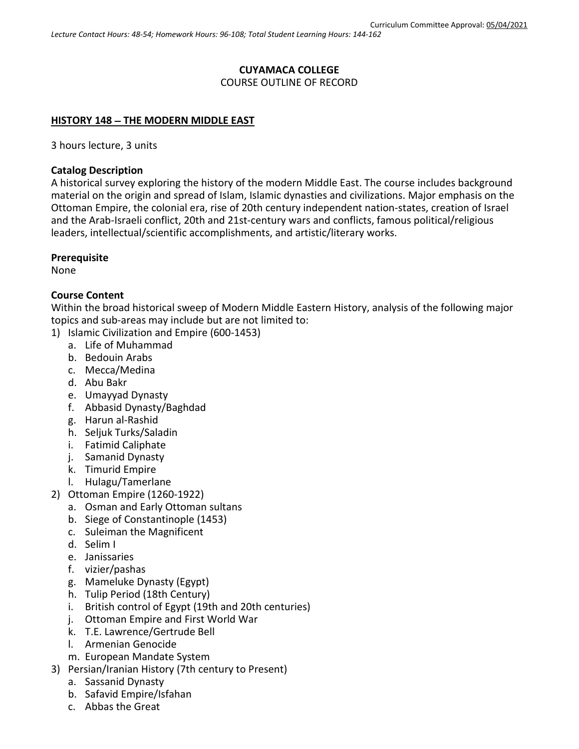### **CUYAMACA COLLEGE** COURSE OUTLINE OF RECORD

### **HISTORY 148** − **THE MODERN MIDDLE EAST**

3 hours lecture, 3 units

#### **Catalog Description**

A historical survey exploring the history of the modern Middle East. The course includes background material on the origin and spread of Islam, Islamic dynasties and civilizations. Major emphasis on the Ottoman Empire, the colonial era, rise of 20th century independent nation-states, creation of Israel and the Arab-Israeli conflict, 20th and 21st-century wars and conflicts, famous political/religious leaders, intellectual/scientific accomplishments, and artistic/literary works.

#### **Prerequisite**

None

### **Course Content**

Within the broad historical sweep of Modern Middle Eastern History, analysis of the following major topics and sub-areas may include but are not limited to:

- 1) Islamic Civilization and Empire (600-1453)
	- a. Life of Muhammad
	- b. Bedouin Arabs
	- c. Mecca/Medina
	- d. Abu Bakr
	- e. Umayyad Dynasty
	- f. Abbasid Dynasty/Baghdad
	- g. Harun al-Rashid
	- h. Seljuk Turks/Saladin
	- i. Fatimid Caliphate
	- j. Samanid Dynasty
	- k. Timurid Empire
	- l. Hulagu/Tamerlane
- 2) Ottoman Empire (1260-1922)
	- a. Osman and Early Ottoman sultans
	- b. Siege of Constantinople (1453)
	- c. Suleiman the Magnificent
	- d. Selim I
	- e. Janissaries
	- f. vizier/pashas
	- g. Mameluke Dynasty (Egypt)
	- h. Tulip Period (18th Century)
	- i. British control of Egypt (19th and 20th centuries)
	- j. Ottoman Empire and First World War
	- k. T.E. Lawrence/Gertrude Bell
	- l. Armenian Genocide
	- m. European Mandate System
- 3) Persian/Iranian History (7th century to Present)
	- a. Sassanid Dynasty
		- b. Safavid Empire/Isfahan
		- c. Abbas the Great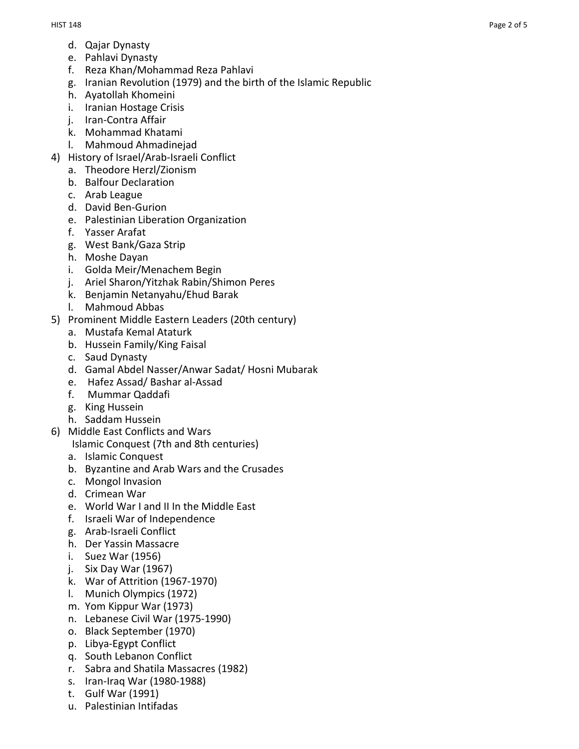- d. Qajar Dynasty
- e. Pahlavi Dynasty
- f. Reza Khan/Mohammad Reza Pahlavi
- g. Iranian Revolution (1979) and the birth of the Islamic Republic
- h. Ayatollah Khomeini
- i. Iranian Hostage Crisis
- j. Iran -Contra Affair
- k. Mohammad Khatami
- l. Mahmoud Ahmadinejad
- 4) History of Israel/Arab -Israeli Conflict
	- a. Theodore Herzl/Zionism
	- b. Balfour Declaration
	- c. Arab League
	- d. David Ben -Gurion
	- e. Palestinian Liberation Organization
	- f. Yasser Arafat
	- g. West Bank/Gaza Strip
	- h. Moshe Dayan
	- i. Golda Meir/Menachem Begin
	- j. Ariel Sharon/Yitzhak Rabin/Shimon Peres
	- k. Benjamin Netanyahu/Ehud Barak
	- l. Mahmoud Abbas
- 5) Prominent Middle Eastern Leaders (20th century)
	- a. Mustafa Kemal Ataturk
	- b. Hussein Family/King Faisal
	- c. Saud Dynasty
	- d. Gamal Abdel Nasser/Anwar Sadat/ Hosni Mubarak
	- e. Hafez Assad/ Bashar al -Assad
	- f. Mummar Qaddafi
	- g. King Hussein
	- h. Saddam Hussein
- 6) Middle East Conflicts and Wars
	- Islamic Conquest (7th and 8th centuries)
	- a. Islamic Conquest
	- b. Byzantine and Arab Wars and the Crusades
	- c. Mongol Invasion
	- d. Crimean War
	- e. World War I and II In the Middle East
	- f. Israeli War of Independence
	- g. Arab -Israeli Conflict
	- h. Der Yassin Massacre
	- i. Suez War (1956)
	- j. Six Day War (1967)
	- k. War of Attrition (1967 -1970)
	- l. Munich Olympics (1972)
	- m. Yom Kippur War (1973)
	- n. Lebanese Civil War (1975 -1990)
	- o. Black September (1970)
	- p. Libya -Egypt Conflict
	- q. South Lebanon Conflict
	- r. Sabra and Shatila Massacres (1982)
	- s. Iran -Iraq War (1980 -1988)
	- t. Gulf War (1991)
	- u. Palestinian Intifadas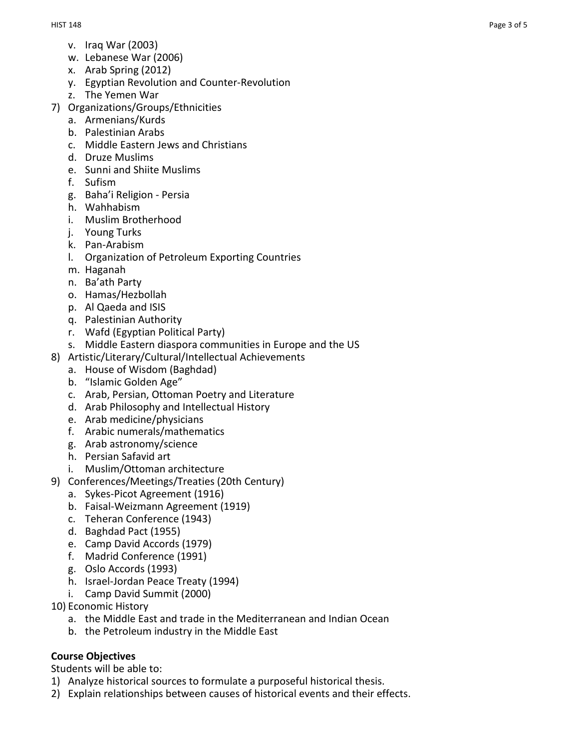- v. Iraq War (2003)
- w. Lebanese War (2006)
- x. Arab Spring (2012)
- y. Egyptian Revolution and Counter-Revolution
- z. The Yemen War
- 7) Organizations/Groups/Ethnicities
	- a. Armenians/Kurds
	- b. Palestinian Arabs
	- c. Middle Eastern Jews and Christians
	- d. Druze Muslims
	- e. Sunni and Shiite Muslims
	- f. Sufism
	- g. Baha'i Religion Persia
	- h. Wahhabism
	- i. Muslim Brotherhood
	- j. Young Turks
	- k. Pan-Arabism
	- l. Organization of Petroleum Exporting Countries
	- m. Haganah
	- n. Ba'ath Party
	- o. Hamas/Hezbollah
	- p. Al Qaeda and ISIS
	- q. Palestinian Authority
	- r. Wafd (Egyptian Political Party)
	- s. Middle Eastern diaspora communities in Europe and the US
- 8) Artistic/Literary/Cultural/Intellectual Achievements
	- a. House of Wisdom (Baghdad)
	- b. "Islamic Golden Age"
	- c. Arab, Persian, Ottoman Poetry and Literature
	- d. Arab Philosophy and Intellectual History
	- e. Arab medicine/physicians
	- f. Arabic numerals/mathematics
	- g. Arab astronomy/science
	- h. Persian Safavid art
	- i. Muslim/Ottoman architecture
- 9) Conferences/Meetings/Treaties (20th Century)
	- a. Sykes-Picot Agreement (1916)
	- b. Faisal-Weizmann Agreement (1919)
	- c. Teheran Conference (1943)
	- d. Baghdad Pact (1955)
	- e. Camp David Accords (1979)
	- f. Madrid Conference (1991)
	- g. Oslo Accords (1993)
	- h. Israel-Jordan Peace Treaty (1994)
	- i. Camp David Summit (2000)
- 10) Economic History
	- a. the Middle East and trade in the Mediterranean and Indian Ocean
	- b. the Petroleum industry in the Middle East

### **Course Objectives**

Students will be able to:

- 1) Analyze historical sources to formulate a purposeful historical thesis.
- 2) Explain relationships between causes of historical events and their effects.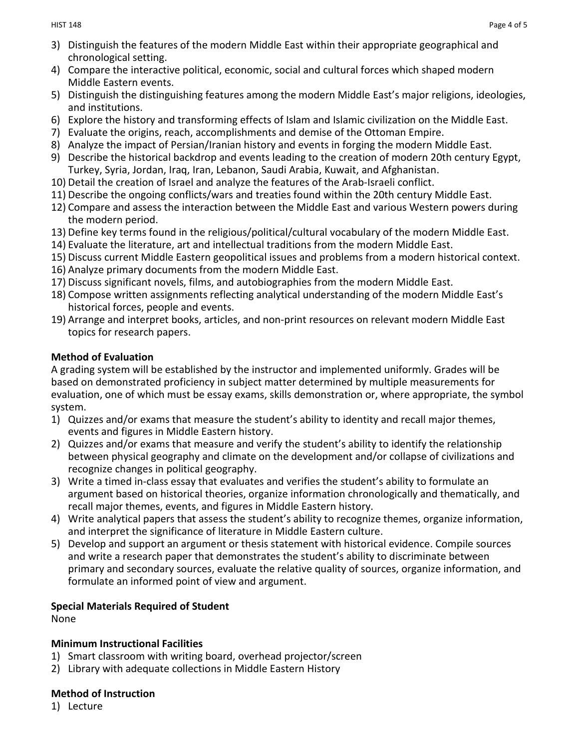- 3) Distinguish the features of the modern Middle East within their appropriate geographical and chronological setting.
- 4) Compare the interactive political, economic, social and cultural forces which shaped modern Middle Eastern events.
- 5) Distinguish the distinguishing features among the modern Middle East's major religions, ideologies, and institutions.
- 6) Explore the history and transforming effects of Islam and Islamic civilization on the Middle East.
- 7) Evaluate the origins, reach, accomplishments and demise of the Ottoman Empire.
- 8) Analyze the impact of Persian/Iranian history and events in forging the modern Middle East.
- 9) Describe the historical backdrop and events leading to the creation of modern 20th century Egypt, Turkey, Syria, Jordan, Iraq, Iran, Lebanon, Saudi Arabia, Kuwait, and Afghanistan.
- 10) Detail the creation of Israel and analyze the features of the Arab-Israeli conflict.
- 11) Describe the ongoing conflicts/wars and treaties found within the 20th century Middle East.
- 12) Compare and assess the interaction between the Middle East and various Western powers during the modern period.
- 13) Define key terms found in the religious/political/cultural vocabulary of the modern Middle East.
- 14) Evaluate the literature, art and intellectual traditions from the modern Middle East.
- 15) Discuss current Middle Eastern geopolitical issues and problems from a modern historical context.
- 16) Analyze primary documents from the modern Middle East.
- 17) Discuss significant novels, films, and autobiographies from the modern Middle East.
- 18) Compose written assignments reflecting analytical understanding of the modern Middle East's historical forces, people and events.
- 19) Arrange and interpret books, articles, and non-print resources on relevant modern Middle East topics for research papers.

# **Method of Evaluation**

A grading system will be established by the instructor and implemented uniformly. Grades will be based on demonstrated proficiency in subject matter determined by multiple measurements for evaluation, one of which must be essay exams, skills demonstration or, where appropriate, the symbol system.

- 1) Quizzes and/or exams that measure the student's ability to identity and recall major themes, events and figures in Middle Eastern history.
- 2) Quizzes and/or exams that measure and verify the student's ability to identify the relationship between physical geography and climate on the development and/or collapse of civilizations and recognize changes in political geography.
- 3) Write a timed in-class essay that evaluates and verifies the student's ability to formulate an argument based on historical theories, organize information chronologically and thematically, and recall major themes, events, and figures in Middle Eastern history.
- 4) Write analytical papers that assess the student's ability to recognize themes, organize information, and interpret the significance of literature in Middle Eastern culture.
- 5) Develop and support an argument or thesis statement with historical evidence. Compile sources and write a research paper that demonstrates the student's ability to discriminate between primary and secondary sources, evaluate the relative quality of sources, organize information, and formulate an informed point of view and argument.

# **Special Materials Required of Student**

None

# **Minimum Instructional Facilities**

- 1) Smart classroom with writing board, overhead projector/screen
- 2) Library with adequate collections in Middle Eastern History

# **Method of Instruction**

1) Lecture